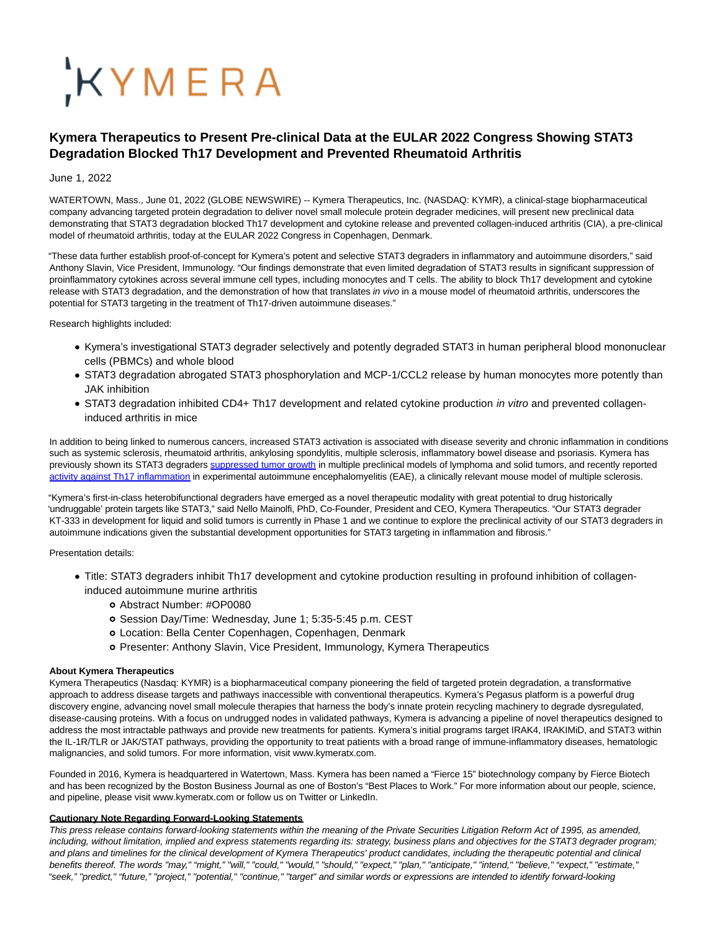# KYMERA

## **Kymera Therapeutics to Present Pre-clinical Data at the EULAR 2022 Congress Showing STAT3 Degradation Blocked Th17 Development and Prevented Rheumatoid Arthritis**

### June 1, 2022

WATERTOWN, Mass., June 01, 2022 (GLOBE NEWSWIRE) -- Kymera Therapeutics, Inc. (NASDAQ: KYMR), a clinical-stage biopharmaceutical company advancing targeted protein degradation to deliver novel small molecule protein degrader medicines, will present new preclinical data demonstrating that STAT3 degradation blocked Th17 development and cytokine release and prevented collagen-induced arthritis (CIA), a pre-clinical model of rheumatoid arthritis, today at the EULAR 2022 Congress in Copenhagen, Denmark.

"These data further establish proof-of-concept for Kymera's potent and selective STAT3 degraders in inflammatory and autoimmune disorders," said Anthony Slavin, Vice President, Immunology. "Our findings demonstrate that even limited degradation of STAT3 results in significant suppression of proinflammatory cytokines across several immune cell types, including monocytes and T cells. The ability to block Th17 development and cytokine release with STAT3 degradation, and the demonstration of how that translates in vivo in a mouse model of rheumatoid arthritis, underscores the potential for STAT3 targeting in the treatment of Th17-driven autoimmune diseases."

Research highlights included:

- Kymera's investigational STAT3 degrader selectively and potently degraded STAT3 in human peripheral blood mononuclear cells (PBMCs) and whole blood
- STAT3 degradation abrogated STAT3 phosphorylation and MCP-1/CCL2 release by human monocytes more potently than JAK inhibition
- STAT3 degradation inhibited CD4+ Th17 development and related cytokine production *in vitro* and prevented collageninduced arthritis in mice

In addition to being linked to numerous cancers, increased STAT3 activation is associated with disease severity and chronic inflammation in conditions such as systemic sclerosis, rheumatoid arthritis, ankylosing spondylitis, multiple sclerosis, inflammatory bowel disease and psoriasis. Kymera has previously shown its STAT3 degraders [suppressed tumor growth i](https://www.globenewswire.com/Tracker?data=UkXYB3Uu9l6VwmFWWw2-1TxApo_iQlKinPEuukTMv3xFdgfCU8lnseQKLFWsWS-egxfOeZsk-e71FfQToZkShQ8l9bx353UNtxgkIH6Cb7-fBY9bc4bu0QPlwqRWM9uELudDSi6mSeThhbXq4DrB5GlNWwucBLk8pHtgtucg-GBpFLrbDalJKGdtijFDBAR66qvRT5AS-RZ14Oxr6N4IaZViWSHzgNfAEVAt-b22oz8=)n multiple preclinical models of lymphoma and solid tumors, and recently reported [activity against Th17 inflammation i](https://www.globenewswire.com/Tracker?data=VLbwHrEOupV02oDJEyks-6Jj8bwWp8I3WAwBUshz20ZWZX6by9p3d6RLbgNjR-Y0wqfNrvyK5qzdBYH1rNhrCPdNIhejjs1EYu8XoYUuclC__yi0IeqndjM-q5826wxfHPwxcJ_5_3eokUt-IVRRpsvjJGOpNr2BArCBQw18Ds7OACtc-OEm-bubm23vO6cxaoEFBAD5vfpmd0xn4UXrXmnNA0wB6tKtnKMYpiUciAIeiXo6svt8-n_q40QvQKKR)n experimental autoimmune encephalomyelitis (EAE), a clinically relevant mouse model of multiple sclerosis.

"Kymera's first-in-class heterobifunctional degraders have emerged as a novel therapeutic modality with great potential to drug historically 'undruggable' protein targets like STAT3," said Nello Mainolfi, PhD, Co-Founder, President and CEO, Kymera Therapeutics. "Our STAT3 degrader KT-333 in development for liquid and solid tumors is currently in Phase 1 and we continue to explore the preclinical activity of our STAT3 degraders in autoimmune indications given the substantial development opportunities for STAT3 targeting in inflammation and fibrosis."

#### Presentation details:

- Title: STAT3 degraders inhibit Th17 development and cytokine production resulting in profound inhibition of collageninduced autoimmune murine arthritis
	- Abstract Number: #OP0080
	- o Session Day/Time: Wednesday, June 1; 5:35-5:45 p.m. CEST
	- Location: Bella Center Copenhagen, Copenhagen, Denmark
	- Presenter: Anthony Slavin, Vice President, Immunology, Kymera Therapeutics

#### **About Kymera Therapeutics**

Kymera Therapeutics (Nasdaq: KYMR) is a biopharmaceutical company pioneering the field of targeted protein degradation, a transformative approach to address disease targets and pathways inaccessible with conventional therapeutics. Kymera's Pegasus platform is a powerful drug discovery engine, advancing novel small molecule therapies that harness the body's innate protein recycling machinery to degrade dysregulated, disease-causing proteins. With a focus on undrugged nodes in validated pathways, Kymera is advancing a pipeline of novel therapeutics designed to address the most intractable pathways and provide new treatments for patients. Kymera's initial programs target IRAK4, IRAKIMiD, and STAT3 within the IL-1R/TLR or JAK/STAT pathways, providing the opportunity to treat patients with a broad range of immune-inflammatory diseases, hematologic malignancies, and solid tumors. For more information, visit www.kymeratx.com.

Founded in 2016, Kymera is headquartered in Watertown, Mass. Kymera has been named a "Fierce 15" biotechnology company by Fierce Biotech and has been recognized by the Boston Business Journal as one of Boston's "Best Places to Work." For more information about our people, science, and pipeline, please visit www.kymeratx.com or follow us on Twitter or LinkedIn.

#### **Cautionary Note Regarding Forward-Looking Statements**

This press release contains forward-looking statements within the meaning of the Private Securities Litigation Reform Act of 1995, as amended, including, without limitation, implied and express statements regarding its: strategy, business plans and objectives for the STAT3 degrader program; and plans and timelines for the clinical development of Kymera Therapeutics' product candidates, including the therapeutic potential and clinical benefits thereof. The words "may," "might," "will," "could," "would," "should," "expect," "plan," "anticipate," "intend," "believe," "expect," "estimate," "seek," "predict," "future," "project," "potential," "continue," "target" and similar words or expressions are intended to identify forward-looking